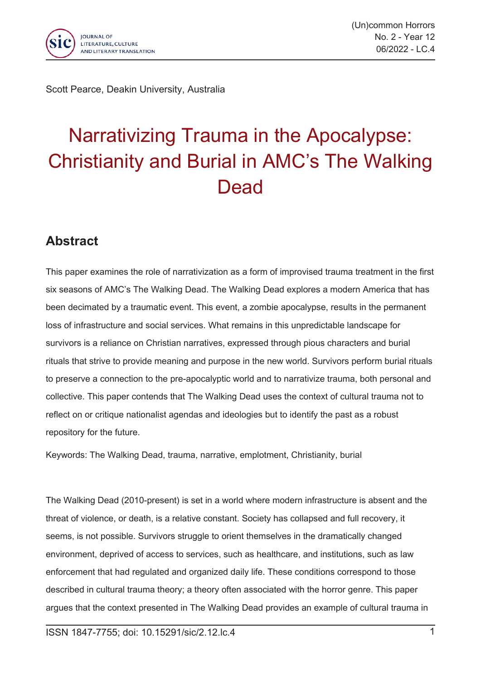

Scott Pearce, Deakin University, Australia

## Narrativizing Trauma in the Apocalypse: Christianity and Burial in AMC's The Walking **Dead**

## **Abstract**

This paper examines the role of narrativization as <sup>a</sup> form of improvised trauma treatment in the first six seasons of AMC's The Walking Dead. The Walking Dead explores <sup>a</sup> modern America that has been decimated by <sup>a</sup> traumatic event. This event, <sup>a</sup> zombie apocalypse, results in the permanent loss of infrastructure and social services. What remains in this unpredictable landscape for survivors is <sup>a</sup> reliance on Christian narratives, expressed through pious characters and burial rituals that strive to provide meaning and purpose in the new world. Survivors perform burial rituals to preserve <sup>a</sup> connection to the pre-apocalyptic world and to narrativize trauma, both personal and collective. This paper contends that The Walking Dead uses the context of cultural trauma not to reflect on or critique nationalist agendas and ideologies but to identify the past as <sup>a</sup> robust repository for the future.

Keywords: The Walking Dead, trauma, narrative, emplotment, Christianity, burial

The Walking Dead (2010-present) is set in <sup>a</sup> world where modern infrastructure is absent and the threat of violence, or death, is <sup>a</sup> relative constant. Society has collapsed and full recovery, it seems, is not possible. Survivors struggle to orient themselves in the dramatically changed environment, deprived of access to services, such as healthcare, and institutions, such as law enforcement that had regulated and organized daily life. These conditions correspond to those described in cultural trauma theory; <sup>a</sup> theory often associated with the horror genre. This paper argues that the context presented in The Walking Dead provides an example of cultural trauma in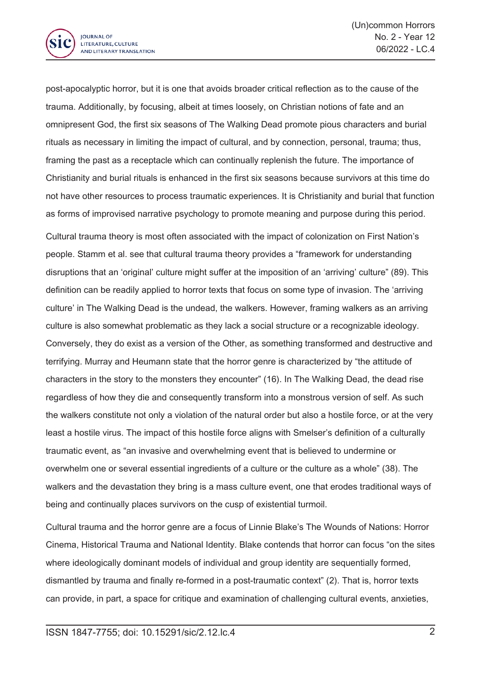

post-apocalyptic horror, but it is one that avoids broader critical reflection as to the cause of the trauma. Additionally, by focusing, albeit at times loosely, on Christian notions of fate and an omnipresent God, the first six seasons of The Walking Dead promote pious characters and burial rituals as necessary in limiting the impact of cultural, and by connection, personal, trauma; thus, framing the past as <sup>a</sup> receptacle which can continually replenish the future. The importance of Christianity and burial rituals is enhanced in the first six seasons because survivors at this time do not have other resources to process traumatic experiences. It is Christianity and burial that function as forms of improvised narrative psychology to promote meaning and purpose during this period.

Cultural trauma theory is most often associated with the impact of colonization on First Nation's people. Stamm et al. see that cultural trauma theory provides <sup>a</sup> "framework for understanding disruptions that an 'original' culture might suffer at the imposition of an 'arriving' culture" (89). This definition can be readily applied to horror texts that focus on some type of invasion. The 'arriving culture' in The Walking Dead is the undead, the walkers. However, framing walkers as an arriving culture is also somewhat problematic as they lack <sup>a</sup> social structure or <sup>a</sup> recognizable ideology. Conversely, they do exist as <sup>a</sup> version of the Other, as something transformed and destructive and terrifying. Murray and Heumann state that the horror genre is characterized by "the attitude of characters in the story to the monsters they encounter" (16). In The Walking Dead, the dead rise regardless of how they die and consequently transform into <sup>a</sup> monstrous version of self. As such the walkers constitute not only <sup>a</sup> violation of the natural order but also <sup>a</sup> hostile force, or at the very least <sup>a</sup> hostile virus. The impact of this hostile force aligns with Smelser's definition of <sup>a</sup> culturally traumatic event, as "an invasive and overwhelming event that is believed to undermine or overwhelm one or several essential ingredients of <sup>a</sup> culture or the culture as <sup>a</sup> whole" (38). The walkers and the devastation they bring is <sup>a</sup> mass culture event, one that erodes traditional ways of being and continually places survivors on the cusp of existential turmoil.

Cultural trauma and the horror genre are <sup>a</sup> focus of Linnie Blake's The Wounds of Nations: Horror Cinema, Historical Trauma and National Identity. Blake contends that horror can focus "on the sites where ideologically dominant models of individual and group identity are sequentially formed, dismantled by trauma and finally re-formed in <sup>a</sup> post-traumatic context" (2). That is, horror texts can provide, in part, <sup>a</sup> space for critique and examination of challenging cultural events, anxieties,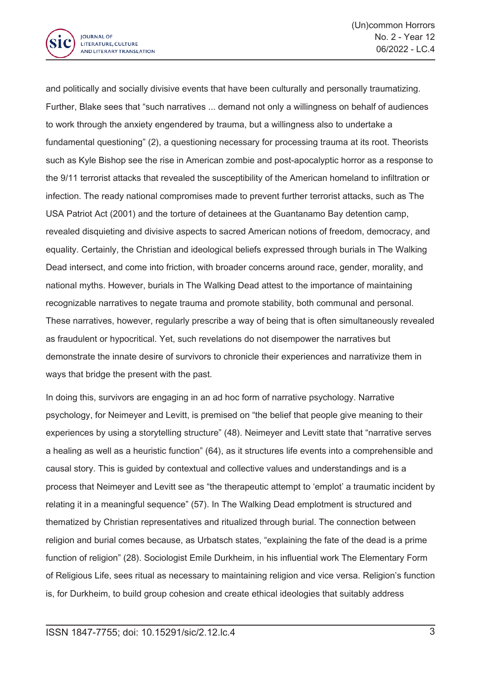

and politically and socially divisive events that have been culturally and personally traumatizing. Further, Blake sees that "such narratives ... demand not only <sup>a</sup> willingness on behalf of audiences to work through the anxiety engendered by trauma, but <sup>a</sup> willingness also to undertake <sup>a</sup> fundamental questioning" (2), <sup>a</sup> questioning necessary for processing trauma at its root. Theorists such as Kyle Bishop see the rise in American zombie and post-apocalyptic horror as <sup>a</sup> response to the 9/11 terrorist attacks that revealed the susceptibility of the American homeland to infiltration or infection. The ready national compromises made to prevent further terrorist attacks, such as The USA Patriot Act (2001) and the torture of detainees at the Guantanamo Bay detention camp, revealed disquieting and divisive aspects to sacred American notions of freedom, democracy, and equality. Certainly, the Christian and ideological beliefs expressed through burials in The Walking Dead intersect, and come into friction, with broader concerns around race, gender, morality, and national myths. However, burials in The Walking Dead attest to the importance of maintaining recognizable narratives to negate trauma and promote stability, both communal and personal. These narratives, however, regularly prescribe <sup>a</sup> way of being that is often simultaneously revealed as fraudulent or hypocritical. Yet, such revelations do not disempower the narratives but demonstrate the innate desire of survivors to chronicle their experiences and narrativize them in ways that bridge the present with the past.

In doing this, survivors are engaging in an ad hoc form of narrative psychology. Narrative psychology, for Neimeyer and Levitt, is premised on "the belief that people give meaning to their experiences by using <sup>a</sup> storytelling structure" (48). Neimeyer and Levitt state that "narrative serves <sup>a</sup> healing as well as <sup>a</sup> heuristic function" (64), as it structures life events into <sup>a</sup> comprehensible and causal story. This is guided by contextual and collective values and understandings and is <sup>a</sup> process that Neimeyer and Levitt see as "the therapeutic attempt to 'emplot' <sup>a</sup> traumatic incident by relating it in <sup>a</sup> meaningful sequence" (57). In The Walking Dead emplotment is structured and thematized by Christian representatives and ritualized through burial. The connection between religion and burial comes because, as Urbatsch states, "explaining the fate of the dead is <sup>a</sup> prime function of religion" (28). Sociologist Émile Durkheim, in his influential work The Elementary Form of Religious Life, sees ritual as necessary to maintaining religion and vice versa. Religion's function is, for Durkheim, to build group cohesion and create ethical ideologies that suitably address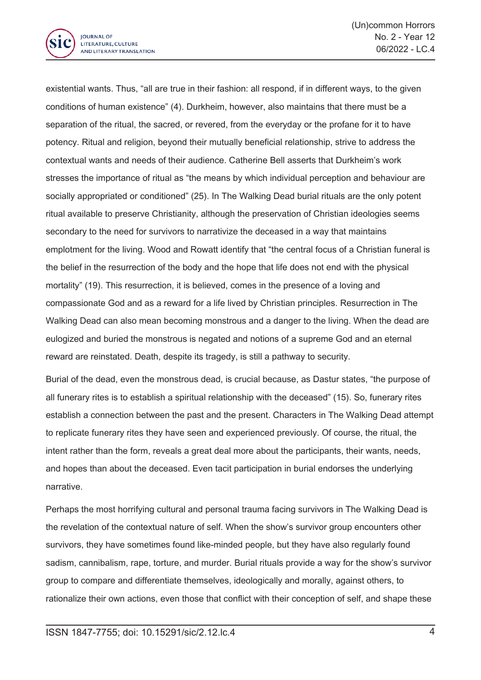

existential wants. Thus, "all are true in their fashion: all respond, if in different ways, to the given conditions of human existence" (4). Durkheim, however, also maintains that there must be <sup>a</sup> separation of the ritual, the sacred, or revered, from the everyday or the profane for it to have potency. Ritual and religion, beyond their mutually beneficial relationship, strive to address the contextual wants and needs of their audience. Catherine Bell asserts that Durkheim's work stresses the importance of ritual as "the means by which individual perception and behaviour are socially appropriated or conditioned" (25). In The Walking Dead burial rituals are the only potent ritual available to preserve Christianity, although the preservation of Christian ideologies seems secondary to the need for survivors to narrativize the deceased in <sup>a</sup> way that maintains emplotment for the living. Wood and Rowatt identify that "the central focus of <sup>a</sup> Christian funeral is the belief in the resurrection of the body and the hope that life does not end with the physical mortality" (19). This resurrection, it is believed, comes in the presence of <sup>a</sup> loving and compassionate God and as <sup>a</sup> reward for <sup>a</sup> life lived by Christian principles. Resurrection in The Walking Dead can also mean becoming monstrous and <sup>a</sup> danger to the living. When the dead are eulogized and buried the monstrous is negated and notions of <sup>a</sup> supreme God and an eternal reward are reinstated. Death, despite its tragedy, is still <sup>a</sup> pathway to security.

Burial of the dead, even the monstrous dead, is crucial because, as Dastur states, "the purpose of all funerary rites is to establish <sup>a</sup> spiritual relationship with the deceased" (15). So, funerary rites establish <sup>a</sup> connection between the past and the present. Characters in The Walking Dead attempt to replicate funerary rites they have seen and experienced previously. Of course, the ritual, the intent rather than the form, reveals <sup>a</sup> great deal more about the participants, their wants, needs, and hopes than about the deceased. Even tacit participation in burial endorses the underlying narrative.

Perhaps the most horrifying cultural and personal trauma facing survivors in The Walking Dead is the revelation of the contextual nature of self. When the show's survivor group encounters other survivors, they have sometimes found like-minded people, but they have also regularly found sadism, cannibalism, rape, torture, and murder. Burial rituals provide <sup>a</sup> way for the show's survivor group to compare and differentiate themselves, ideologically and morally, against others, to rationalize their own actions, even those that conflict with their conception of self, and shape these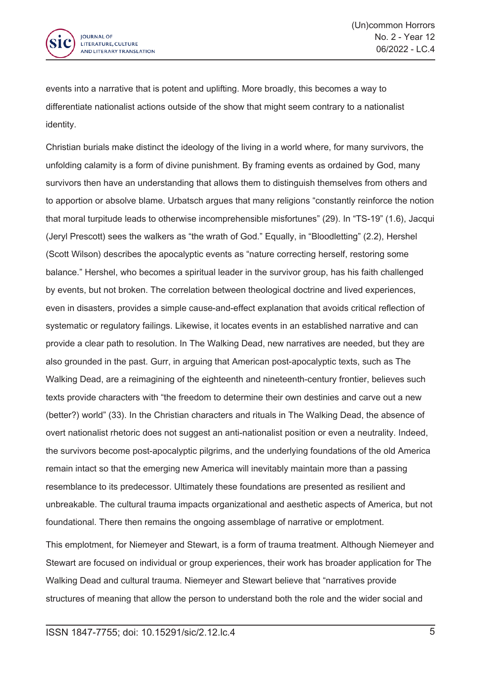

events into <sup>a</sup> narrative that is potent and uplifting. More broadly, this becomes <sup>a</sup> way to differentiate nationalist actions outside of the show that might seem contrary to <sup>a</sup> nationalist identity.

Christian burials make distinct the ideology of the living in <sup>a</sup> world where, for many survivors, the unfolding calamity is <sup>a</sup> form of divine punishment. By framing events as ordained by God, many survivors then have an understanding that allows them to distinguish themselves from others and to apportion or absolve blame. Urbatsch argues that many religions "constantly reinforce the notion that moral turpitude leads to otherwise incomprehensible misfortunes" (29). In "TS-19" (1.6), Jacqui (Jeryl Prescott) sees the walkers as "the wrath of God." Equally, in "Bloodletting" (2.2), Hershel (Scott Wilson) describes the apocalyptic events as "nature correcting herself, restoring some balance." Hershel, who becomes <sup>a</sup> spiritual leader in the survivor group, has his faith challenged by events, but not broken. The correlation between theological doctrine and lived experiences, even in disasters, provides <sup>a</sup> simple cause-and-effect explanation that avoids critical reflection of systematic or regulatory failings. Likewise, it locates events in an established narrative and can provide <sup>a</sup> clear path to resolution. In The Walking Dead, new narratives are needed, but they are also grounded in the past. Gurr, in arguing that American post-apocalyptic texts, such as The Walking Dead, are <sup>a</sup> reimagining of the eighteenth and nineteenth-century frontier, believes such texts provide characters with "the freedom to determine their own destinies and carve out <sup>a</sup> new (better?) world" (33). In the Christian characters and rituals in The Walking Dead, the absence of overt nationalist rhetoric does not suggest an anti-nationalist position or even <sup>a</sup> neutrality. Indeed, the survivors become post-apocalyptic pilgrims, and the underlying foundations of the old America remain intact so that the emerging new America will inevitably maintain more than <sup>a</sup> passing resemblance to its predecessor. Ultimately these foundations are presented as resilient and unbreakable. The cultural trauma impacts organizational and aesthetic aspects of America, but not foundational. There then remains the ongoing assemblage of narrative or emplotment.

This emplotment, for Niemeyer and Stewart, is <sup>a</sup> form of trauma treatment. Although Niemeyer and Stewart are focused on individual or group experiences, their work has broader application for The Walking Dead and cultural trauma. Niemeyer and Stewart believe that "narratives provide structures of meaning that allow the person to understand both the role and the wider social and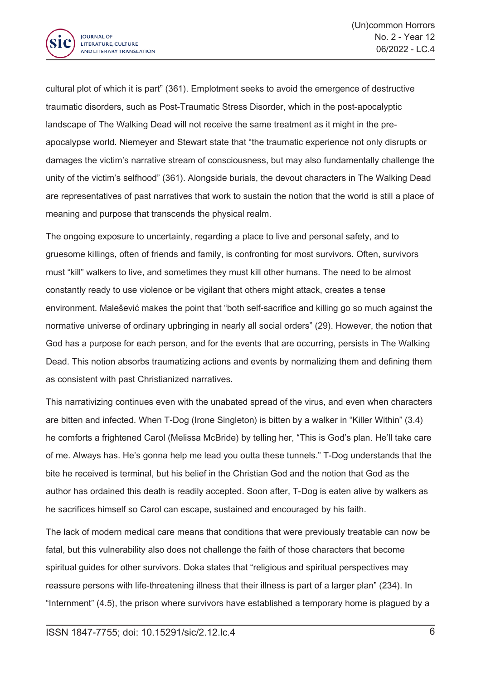

cultural plot of which it is part" (361). Emplotment seeks to avoid the emergence of destructive traumatic disorders, such as Post-Traumatic Stress Disorder, which in the post-apocalyptic landscape of The Walking Dead will not receive the same treatment as it might in the preapocalypse world. Niemeyer and Stewart state that "the traumatic experience not only disrupts or damages the victim's narrative stream of consciousness, but may also fundamentally challenge the unity of the victim's selfhood" (361). Alongside burials, the devout characters in The Walking Dead are representatives of past narratives that work to sustain the notion that the world is still <sup>a</sup> place of meaning and purpose that transcends the physical realm.

The ongoing exposure to uncertainty, regarding <sup>a</sup> place to live and personal safety, and to gruesome killings, often of friends and family, is confronting for most survivors. Often, survivors must "kill" walkers to live, and sometimes they must kill other humans. The need to be almost constantly ready to use violence or be vigilant that others might attack, creates <sup>a</sup> tense environment. Malešević makes the point that "both self-sacrifice and killing go so much against the normative universe of ordinary upbringing in nearly all social orders" (29). However, the notion that God has <sup>a</sup> purpose for each person, and for the events that are occurring, persists in The Walking Dead. This notion absorbs traumatizing actions and events by normalizing them and defining them as consistent with past Christianized narratives.

This narrativizing continues even with the unabated spread of the virus, and even when characters are bitten and infected. When T-Dog (Irone Singleton) is bitten by <sup>a</sup> walker in "Killer Within" (3.4) he comforts <sup>a</sup> frightened Carol (Melissa McBride) by telling her, "This is God's plan. He'll take care of me. Always has. He's gonna help me lead you outta these tunnels." T-Dog understands that the bite he received is terminal, but his belief in the Christian God and the notion that God as the author has ordained this death is readily accepted. Soon after, T-Dog is eaten alive by walkers as he sacrifices himself so Carol can escape, sustained and encouraged by his faith.

The lack of modern medical care means that conditions that were previously treatable can now be fatal, but this vulnerability also does not challenge the faith of those characters that become spiritual guides for other survivors. Doka states that "religious and spiritual perspectives may reassure persons with life-threatening illness that their illness is part of <sup>a</sup> larger plan" (234). In "Internment" (4.5), the prison where survivors have established <sup>a</sup> temporary home is plagued by <sup>a</sup>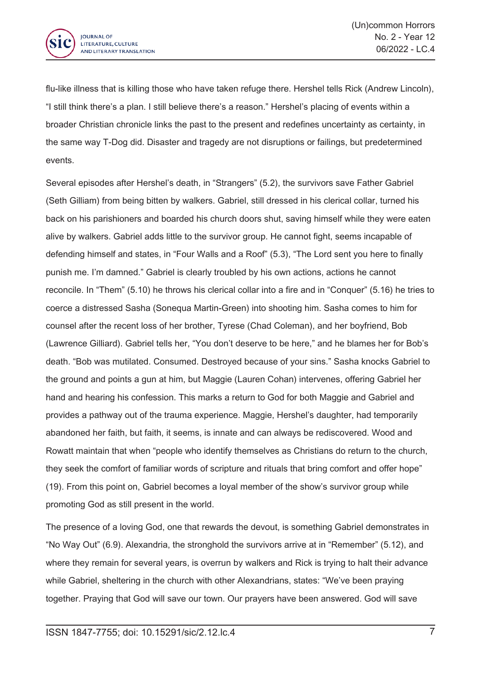

flu-like illness that is killing those who have taken refuge there. Hershel tells Rick (Andrew Lincoln), "I still think there's <sup>a</sup> plan. I still believe there's <sup>a</sup> reason." Hershel's placing of events within <sup>a</sup> broader Christian chronicle links the past to the present and redefines uncertainty as certainty, in the same way T-Dog did. Disaster and tragedy are not disruptions or failings, but predetermined events.

Several episodes after Hershel's death, in "Strangers" (5.2), the survivors save Father Gabriel (Seth Gilliam) from being bitten by walkers. Gabriel, still dressed in his clerical collar, turned his back on his parishioners and boarded his church doors shut, saving himself while they were eaten alive by walkers. Gabriel adds little to the survivor group. He cannot fight, seems incapable of defending himself and states, in "Four Walls and <sup>a</sup> Roof" (5.3), "The Lord sent you here to finally punish me. I'm damned." Gabriel is clearly troubled by his own actions, actions he cannot reconcile. In "Them" (5.10) he throws his clerical collar into <sup>a</sup> fire and in "Conquer" (5.16) he tries to coerce <sup>a</sup> distressed Sasha (Sonequa Martin-Green) into shooting him. Sasha comes to him for counsel after the recent loss of her brother, Tyrese (Chad Coleman), and her boyfriend, Bob (Lawrence Gilliard). Gabriel tells her, "You don't deserve to be here," and he blames her for Bob's death. "Bob was mutilated. Consumed. Destroyed because of your sins." Sasha knocks Gabriel to the ground and points <sup>a</sup> gun at him, but Maggie (Lauren Cohan) intervenes, offering Gabriel her hand and hearing his confession. This marks <sup>a</sup> return to God for both Maggie and Gabriel and provides <sup>a</sup> pathway out of the trauma experience. Maggie, Hershel's daughter, had temporarily abandoned her faith, but faith, it seems, is innate and can always be rediscovered. Wood and Rowatt maintain that when "people who identify themselves as Christians do return to the church, they seek the comfort of familiar words of scripture and rituals that bring comfort and offer hope" (19). From this point on, Gabriel becomes <sup>a</sup> loyal member of the show's survivor group while promoting God as still present in the world.

The presence of <sup>a</sup> loving God, one that rewards the devout, is something Gabriel demonstrates in "No Way Out" (6.9). Alexandria, the stronghold the survivors arrive at in "Remember" (5.12), and where they remain for several years, is overrun by walkers and Rick is trying to halt their advance while Gabriel, sheltering in the church with other Alexandrians, states: "We've been praying together. Praying that God will save our town. Our prayers have been answered. God will save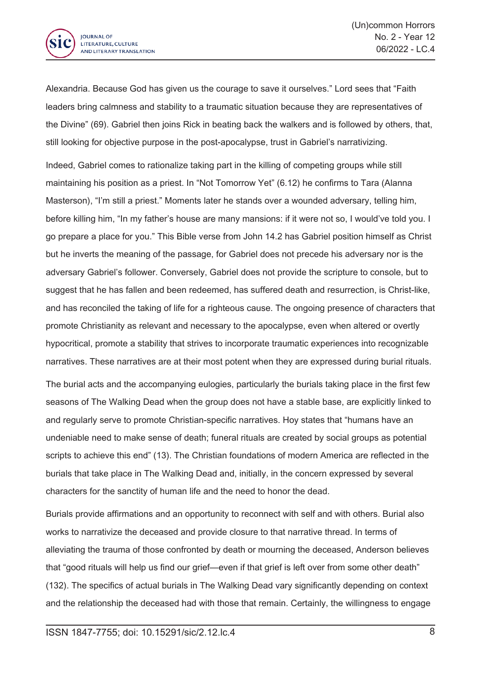

Alexandria. Because God has given us the courage to save it ourselves." Lord sees that "Faith leaders bring calmness and stability to <sup>a</sup> traumatic situation because they are representatives of the Divine" (69). Gabriel then joins Rick in beating back the walkers and is followed by others, that, still looking for objective purpose in the post-apocalypse, trust in Gabriel's narrativizing.

Indeed, Gabriel comes to rationalize taking part in the killing of competing groups while still maintaining his position as <sup>a</sup> priest. In "Not Tomorrow Yet" (6.12) he confirms to Tara (Alanna Masterson), "I'm still <sup>a</sup> priest." Moments later he stands over <sup>a</sup> wounded adversary, telling him, before killing him, "In my father's house are many mansions: if it were not so, I would've told you. I go prepare <sup>a</sup> place for you." This Bible verse from John 14.2 has Gabriel position himself as Christ but he inverts the meaning of the passage, for Gabriel does not precede his adversary nor is the adversary Gabriel's follower. Conversely, Gabriel does not provide the scripture to console, but to suggest that he has fallen and been redeemed, has suffered death and resurrection, is Christ-like, and has reconciled the taking of life for <sup>a</sup> righteous cause. The ongoing presence of characters that promote Christianity as relevant and necessary to the apocalypse, even when altered or overtly hypocritical, promote <sup>a</sup> stability that strives to incorporate traumatic experiences into recognizable narratives. These narratives are at their most potent when they are expressed during burial rituals.

The burial acts and the accompanying eulogies, particularly the burials taking place in the first few seasons of The Walking Dead when the group does not have <sup>a</sup> stable base, are explicitly linked to and regularly serve to promote Christian-specific narratives. Hoy states that "humans have an undeniable need to make sense of death; funeral rituals are created by social groups as potential scripts to achieve this end" (13). The Christian foundations of modern America are reflected in the burials that take place in The Walking Dead and, initially, in the concern expressed by several characters for the sanctity of human life and the need to honor the dead.

Burials provide affirmations and an opportunity to reconnect with self and with others. Burial also works to narrativize the deceased and provide closure to that narrative thread. In terms of alleviating the trauma of those confronted by death or mourning the deceased, Anderson believes that "good rituals will help us find our grief—even if that grief is left over from some other death" (132). The specifics of actual burials in The Walking Dead vary significantly depending on context and the relationship the deceased had with those that remain. Certainly, the willingness to engage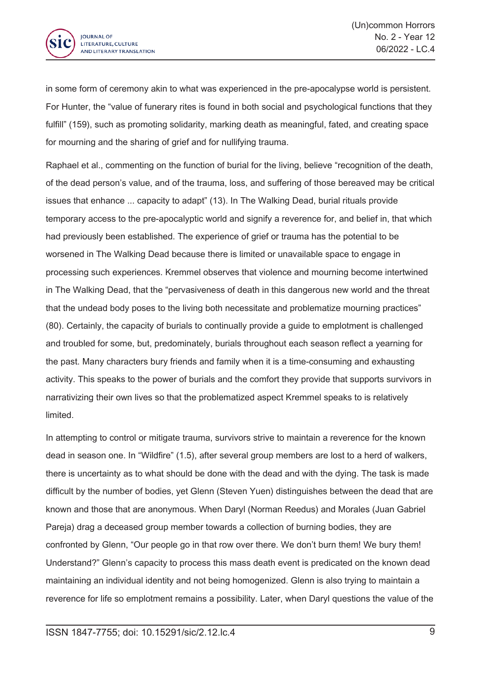

in some form of ceremony akin to what was experienced in the pre-apocalypse world is persistent. For Hunter, the "value of funerary rites is found in both social and psychological functions that they fulfill" (159), such as promoting solidarity, marking death as meaningful, fated, and creating space for mourning and the sharing of grief and for nullifying trauma.

Raphael et al., commenting on the function of burial for the living, believe "recognition of the death, of the dead person's value, and of the trauma, loss, and suffering of those bereaved may be critical issues that enhance ... capacity to adapt" (13). In The Walking Dead, burial rituals provide temporary access to the pre-apocalyptic world and signify <sup>a</sup> reverence for, and belief in, that which had previously been established. The experience of grief or trauma has the potential to be worsened in The Walking Dead because there is limited or unavailable space to engage in processing such experiences. Kremmel observes that violence and mourning become intertwined in The Walking Dead, that the "pervasiveness of death in this dangerous new world and the threat that the undead body poses to the living both necessitate and problematize mourning practices" (80). Certainly, the capacity of burials to continually provide <sup>a</sup> guide to emplotment is challenged and troubled for some, but, predominately, burials throughout each season reflect <sup>a</sup> yearning for the past. Many characters bury friends and family when it is <sup>a</sup> time-consuming and exhausting activity. This speaks to the power of burials and the comfort they provide that supports survivors in narrativizing their own lives so that the problematized aspect Kremmel speaks to is relatively limited.

In attempting to control or mitigate trauma, survivors strive to maintain <sup>a</sup> reverence for the known dead in season one. In "Wildfire" (1.5), after several group members are lost to <sup>a</sup> herd of walkers, there is uncertainty as to what should be done with the dead and with the dying. The task is made difficult by the number of bodies, yet Glenn (Steven Yuen) distinguishes between the dead that are known and those that are anonymous. When Daryl (Norman Reedus) and Morales (Juan Gabriel Pareja) drag <sup>a</sup> deceased group member towards <sup>a</sup> collection of burning bodies, they are confronted by Glenn, "Our people go in that row over there. We don't burn them! We bury them! Understand?" Glenn's capacity to process this mass death event is predicated on the known dead maintaining an individual identity and not being homogenized. Glenn is also trying to maintain <sup>a</sup> reverence for life so emplotment remains <sup>a</sup> possibility. Later, when Daryl questions the value of the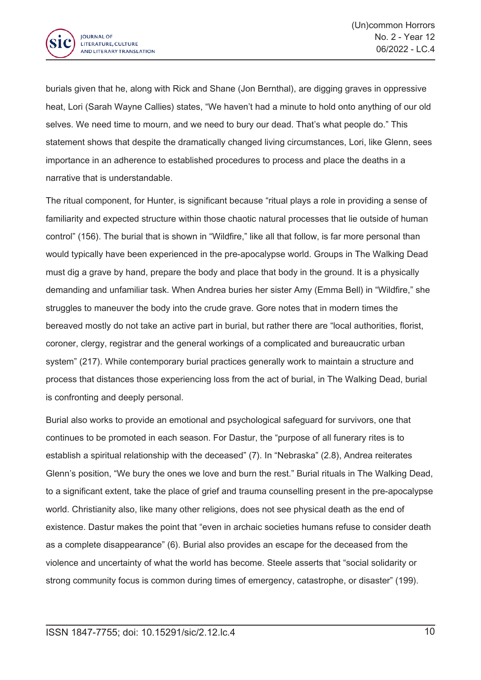

burials given that he, along with Rick and Shane (Jon Bernthal), are digging graves in oppressive heat, Lori (Sarah Wayne Callies) states, "We haven't had <sup>a</sup> minute to hold onto anything of our old selves. We need time to mourn, and we need to bury our dead. That's what people do." This statement shows that despite the dramatically changed living circumstances, Lori, like Glenn, sees importance in an adherence to established procedures to process and place the deaths in <sup>a</sup> narrative that is understandable.

The ritual component, for Hunter, is significant because "ritual plays <sup>a</sup> role in providing <sup>a</sup> sense of familiarity and expected structure within those chaotic natural processes that lie outside of human control" (156). The burial that is shown in "Wildfire," like all that follow, is far more personal than would typically have been experienced in the pre-apocalypse world. Groups in The Walking Dead must dig <sup>a</sup> grave by hand, prepare the body and place that body in the ground. It is <sup>a</sup> physically demanding and unfamiliar task. When Andrea buries her sister Amy (Emma Bell) in "Wildfire," she struggles to maneuver the body into the crude grave. Gore notes that in modern times the bereaved mostly do not take an active part in burial, but rather there are "local authorities, florist, coroner, clergy, registrar and the general workings of <sup>a</sup> complicated and bureaucratic urban system" (217). While contemporary burial practices generally work to maintain <sup>a</sup> structure and process that distances those experiencing loss from the act of burial, in The Walking Dead, burial is confronting and deeply personal.

Burial also works to provide an emotional and psychological safeguard for survivors, one that continues to be promoted in each season. For Dastur, the "purpose of all funerary rites is to establish <sup>a</sup> spiritual relationship with the deceased" (7). In "Nebraska" (2.8), Andrea reiterates Glenn's position, "We bury the ones we love and burn the rest." Burial rituals in The Walking Dead, to <sup>a</sup> significant extent, take the place of grief and trauma counselling present in the pre-apocalypse world. Christianity also, like many other religions, does not see physical death as the end of existence. Dastur makes the point that "even in archaic societies humans refuse to consider death as <sup>a</sup> complete disappearance" (6). Burial also provides an escape for the deceased from the violence and uncertainty of what the world has become. Steele asserts that "social solidarity or strong community focus is common during times of emergency, catastrophe, or disaster" (199).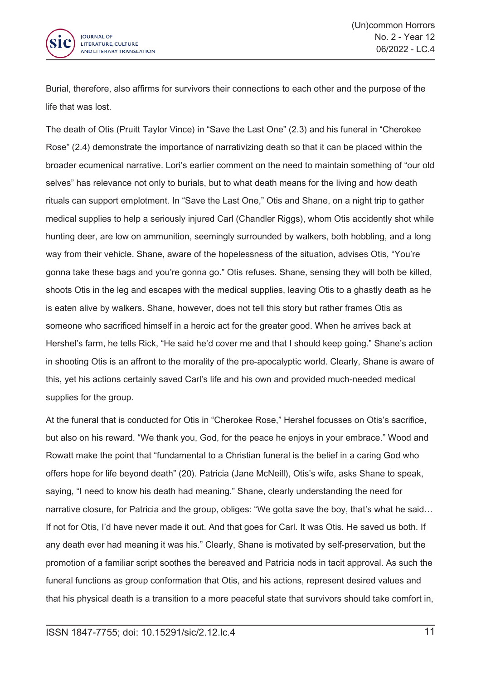

Burial, therefore, also affirms for survivors their connections to each other and the purpose of the life that was lost.

The death of Otis (Pruitt Taylor Vince) in "Save the Last One" (2.3) and his funeral in "Cherokee Rose" (2.4) demonstrate the importance of narrativizing death so that it can be placed within the broader ecumenical narrative. Lori's earlier comment on the need to maintain something of "our old selves" has relevance not only to burials, but to what death means for the living and how death rituals can support emplotment. In "Save the Last One," Otis and Shane, on <sup>a</sup> night trip to gather medical supplies to help <sup>a</sup> seriously injured Carl (Chandler Riggs), whom Otis accidently shot while hunting deer, are low on ammunition, seemingly surrounded by walkers, both hobbling, and <sup>a</sup> long way from their vehicle. Shane, aware of the hopelessness of the situation, advises Otis, "You're gonna take these bags and you're gonna go." Otis refuses. Shane, sensing they will both be killed, shoots Otis in the leg and escapes with the medical supplies, leaving Otis to <sup>a</sup> ghastly death as he is eaten alive by walkers. Shane, however, does not tell this story but rather frames Otis as someone who sacrificed himself in <sup>a</sup> heroic act for the greater good. When he arrives back at Hershel's farm, he tells Rick, "He said he'd cover me and that I should keep going." Shane's action in shooting Otis is an affront to the morality of the pre-apocalyptic world. Clearly, Shane is aware of this, yet his actions certainly saved Carl's life and his own and provided much-needed medical supplies for the group.

At the funeral that is conducted for Otis in "Cherokee Rose," Hershel focusses on Otis's sacrifice, but also on his reward. "We thank you, God, for the peace he enjoys in your embrace." Wood and Rowatt make the point that "fundamental to <sup>a</sup> Christian funeral is the belief in <sup>a</sup> caring God who offers hope for life beyond death" (20). Patricia (Jane McNeill), Otis's wife, asks Shane to speak, saying, "I need to know his death had meaning." Shane, clearly understanding the need for narrative closure, for Patricia and the group, obliges: "We gotta save the boy, that's what he said... If not for Otis, I'd have never made it out. And that goes for Carl. It was Otis. He saved us both. If any death ever had meaning it was his." Clearly, Shane is motivated by self-preservation, but the promotion of <sup>a</sup> familiar script soothes the bereaved and Patricia nods in tacit approval. As such the funeral functions as group conformation that Otis, and his actions, represent desired values and that his physical death is <sup>a</sup> transition to <sup>a</sup> more peaceful state that survivors should take comfort in,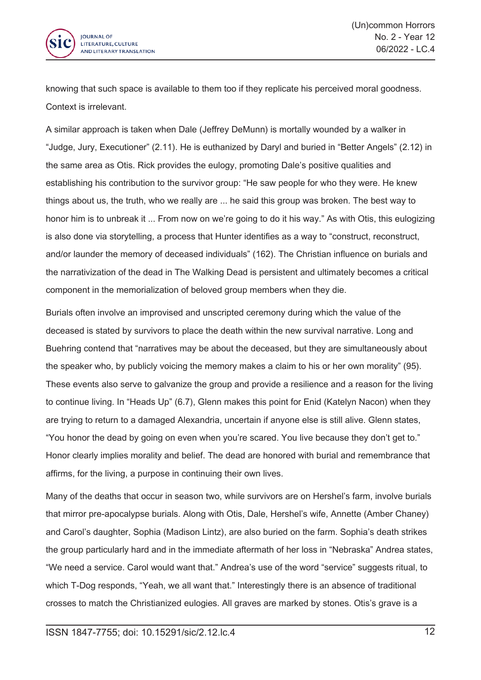

knowing that such space is available to them too if they replicate his perceived moral goodness. Context is irrelevant.

A similar approach is taken when Dale (Jeffrey DeMunn) is mortally wounded by <sup>a</sup> walker in "Judge, Jury, Executioner" (2.11). He is euthanized by Daryl and buried in "Better Angels" (2.12) in the same area as Otis. Rick provides the eulogy, promoting Dale's positive qualities and establishing his contribution to the survivor group: "He saw people for who they were. He knew things about us, the truth, who we really are ... he said this group was broken. The best way to honor him is to unbreak it ... From now on we're going to do it his way." As with Otis, this eulogizing is also done via storytelling, <sup>a</sup> process that Hunter identifies as <sup>a</sup> way to "construct, reconstruct, and/or launder the memory of deceased individuals" (162). The Christian influence on burials and the narrativization of the dead in The Walking Dead is persistent and ultimately becomes <sup>a</sup> critical component in the memorialization of beloved group members when they die.

Burials often involve an improvised and unscripted ceremony during which the value of the deceased is stated by survivors to place the death within the new survival narrative. Long and Buehring contend that "narratives may be about the deceased, but they are simultaneously about the speaker who, by publicly voicing the memory makes <sup>a</sup> claim to his or her own morality" (95). These events also serve to galvanize the group and provide <sup>a</sup> resilience and <sup>a</sup> reason for the living to continue living. In "Heads Up" (6.7), Glenn makes this point for Enid (Katelyn Nacon) when they are trying to return to <sup>a</sup> damaged Alexandria, uncertain if anyone else is still alive. Glenn states, "You honor the dead by going on even when you're scared. You live because they don't get to." Honor clearly implies morality and belief. The dead are honored with burial and remembrance that affirms, for the living, <sup>a</sup> purpose in continuing their own lives.

Many of the deaths that occur in season two, while survivors are on Hershel's farm, involve burials that mirror pre-apocalypse burials. Along with Otis, Dale, Hershel's wife, Annette (Amber Chaney) and Carol's daughter, Sophia (Madison Lintz), are also buried on the farm. Sophia's death strikes the group particularly hard and in the immediate aftermath of her loss in "Nebraska" Andrea states, "We need <sup>a</sup> service. Carol would want that." Andrea's use of the word "service" suggests ritual, to which T-Dog responds, "Yeah, we all want that." Interestingly there is an absence of traditional crosses to match the Christianized eulogies. All graves are marked by stones. Otis's grave is <sup>a</sup>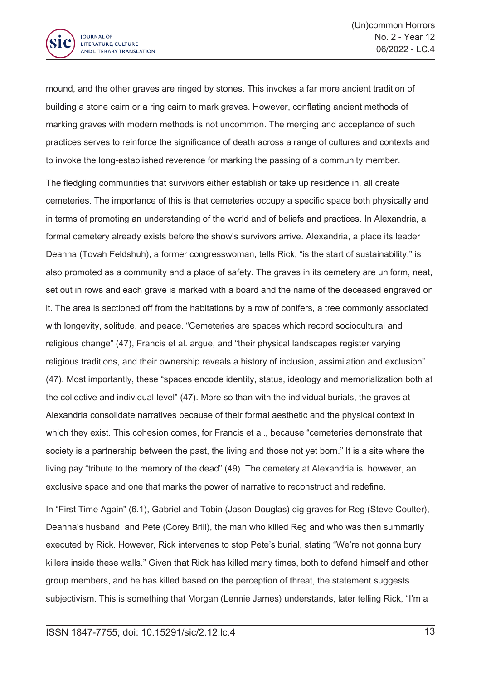

mound, and the other graves are ringed by stones. This invokes <sup>a</sup> far more ancient tradition of building <sup>a</sup> stone cairn or <sup>a</sup> ring cairn to mark graves. However, conflating ancient methods of marking graves with modern methods is not uncommon. The merging and acceptance of such practices serves to reinforce the significance of death across <sup>a</sup> range of cultures and contexts and to invoke the long-established reverence for marking the passing of <sup>a</sup> community member.

The fledgling communities that survivors either establish or take up residence in, all create cemeteries. The importance of this is that cemeteries occupy <sup>a</sup> specific space both physically and in terms of promoting an understanding of the world and of beliefs and practices. In Alexandria, <sup>a</sup> formal cemetery already exists before the show's survivors arrive. Alexandria, <sup>a</sup> place its leader Deanna (Tovah Feldshuh), <sup>a</sup> former congresswoman, tells Rick, "is the start of sustainability," is also promoted as <sup>a</sup> community and <sup>a</sup> place of safety. The graves in its cemetery are uniform, neat, set out in rows and each grave is marked with <sup>a</sup> board and the name of the deceased engraved on it. The area is sectioned off from the habitations by <sup>a</sup> row of conifers, <sup>a</sup> tree commonly associated with longevity, solitude, and peace. "Cemeteries are spaces which record sociocultural and religious change" (47), Francis et al. argue, and "their physical landscapes register varying religious traditions, and their ownership reveals <sup>a</sup> history of inclusion, assimilation and exclusion" (47). Most importantly, these "spaces encode identity, status, ideology and memorialization both at the collective and individual level" (47). More so than with the individual burials, the graves at Alexandria consolidate narratives because of their formal aesthetic and the physical context in which they exist. This cohesion comes, for Francis et al., because "cemeteries demonstrate that society is <sup>a</sup> partnership between the past, the living and those not yet born." It is <sup>a</sup> site where the living pay "tribute to the memory of the dead" (49). The cemetery at Alexandria is, however, an exclusive space and one that marks the power of narrative to reconstruct and redefine.

In "First Time Again" (6.1), Gabriel and Tobin (Jason Douglas) dig graves for Reg (Steve Coulter), Deanna's husband, and Pete (Corey Brill), the man who killed Reg and who was then summarily executed by Rick. However, Rick intervenes to stop Pete's burial, stating "We're not gonna bury killers inside these walls." Given that Rick has killed many times, both to defend himself and other group members, and he has killed based on the perception of threat, the statement suggests subjectivism. This is something that Morgan (Lennie James) understands, later telling Rick, "I'm <sup>a</sup>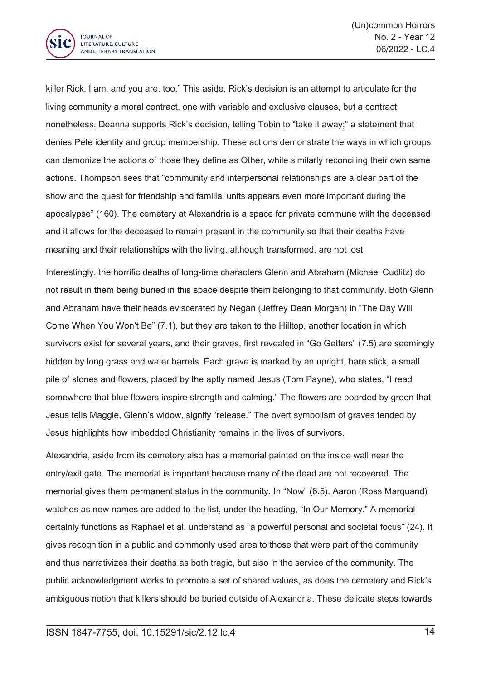

killer Rick. I am, and you are, too." This aside, Rick's decision is an attempt to articulate for the living community <sup>a</sup> moral contract, one with variable and exclusive clauses, but <sup>a</sup> contract nonetheless. Deanna supports Rick's decision, telling Tobin to "take it away;" <sup>a</sup> statement that denies Pete identity and group membership. These actions demonstrate the ways in which groups can demonize the actions of those they define as Other, while similarly reconciling their own same actions. Thompson sees that "community and interpersonal relationships are <sup>a</sup> clear part of the show and the quest for friendship and familial units appears even more important during the apocalypse" (160). The cemetery at Alexandria is <sup>a</sup> space for private commune with the deceased and it allows for the deceased to remain present in the community so that their deaths have meaning and their relationships with the living, although transformed, are not lost.

Interestingly, the horrific deaths of long-time characters Glenn and Abraham (Michael Cudlitz) do not result in them being buried in this space despite them belonging to that community. Both Glenn and Abraham have their heads eviscerated by Negan (Jeffrey Dean Morgan) in "The Day Will Come When You Won't Be" (7.1), but they are taken to the Hilltop, another location in which survivors exist for several years, and their graves, first revealed in "Go Getters" (7.5) are seemingly hidden by long grass and water barrels. Each grave is marked by an upright, bare stick, <sup>a</sup> small pile of stones and flowers, placed by the aptly named Jesus (Tom Payne), who states, "I read somewhere that blue flowers inspire strength and calming." The flowers are boarded by green that Jesus tells Maggie, Glenn's widow, signify "release." The overt symbolism of graves tended by Jesus highlights how imbedded Christianity remains in the lives of survivors.

Alexandria, aside from its cemetery also has <sup>a</sup> memorial painted on the inside wall near the entry/exit gate. The memorial is important because many of the dead are not recovered. The memorial gives them permanent status in the community. In "Now" (6.5), Aaron (Ross Marquand) watches as new names are added to the list, under the heading, "In Our Memory." A memorial certainly functions as Raphael et al. understand as "a powerful personal and societal focus" (24). It gives recognition in <sup>a</sup> public and commonly used area to those that were part of the community and thus narrativizes their deaths as both tragic, but also in the service of the community. The public acknowledgment works to promote <sup>a</sup> set of shared values, as does the cemetery and Rick's ambiguous notion that killers should be buried outside of Alexandria. These delicate steps towards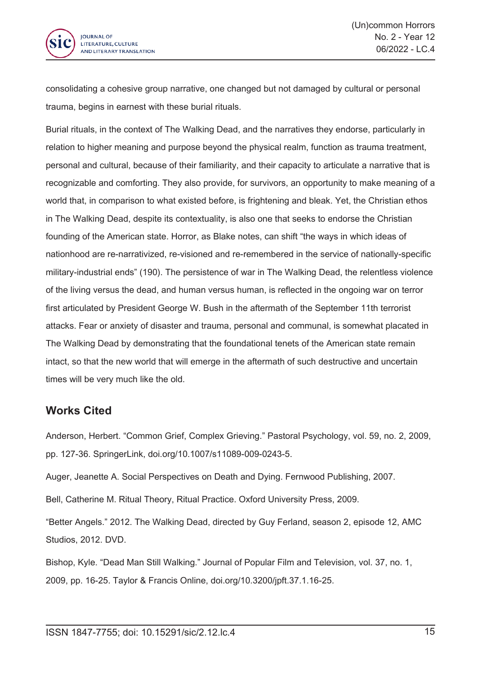

consolidating <sup>a</sup> cohesive group narrative, one changed but not damaged by cultural or personal trauma, begins in earnest with these burial rituals.

Burial rituals, in the context of The Walking Dead, and the narratives they endorse, particularly in relation to higher meaning and purpose beyond the physical realm, function as trauma treatment, personal and cultural, because of their familiarity, and their capacity to articulate <sup>a</sup> narrative that is recognizable and comforting. They also provide, for survivors, an opportunity to make meaning of <sup>a</sup> world that, in comparison to what existed before, is frightening and bleak. Yet, the Christian ethos in The Walking Dead, despite its contextuality, is also one that seeks to endorse the Christian founding of the American state. Horror, as Blake notes, can shift "the ways in which ideas of nationhood are re-narrativized, re-visioned and re-remembered in the service of nationally-specific military-industrial ends" (190). The persistence of war in The Walking Dead, the relentless violence of the living versus the dead, and human versus human, is reflected in the ongoing war on terror first articulated by President George W. Bush in the aftermath of the September 11th terrorist attacks. Fear or anxiety of disaster and trauma, personal and communal, is somewhat placated in The Walking Dead by demonstrating that the foundational tenets of the American state remain intact, so that the new world that will emerge in the aftermath of such destructive and uncertain times will be very much like the old.

## **Works Cited**

Anderson, Herbert. "Common Grief, Complex Grieving." Pastoral Psychology, vol. 59, no. 2, 2009, pp. 127-36. SpringerLink, doi.org/10.1007/s11089-009-0243-5.

Auger, Jeanette A. Social Perspectives on Death and Dying. Fernwood Publishing, 2007.

Bell, Catherine M. Ritual Theory, Ritual Practice. Oxford University Press, 2009.

"Better Angels." 2012. The Walking Dead, directed by Guy Ferland, season 2, episode 12, AMC Studios, 2012. DVD.

Bishop, Kyle. "Dead Man Still Walking." Journal of Popular Film and Television, vol. 37, no. 1, 2009, pp. 16-25. Taylor & Francis Online, doi.org/10.3200/jpft.37.1.16-25.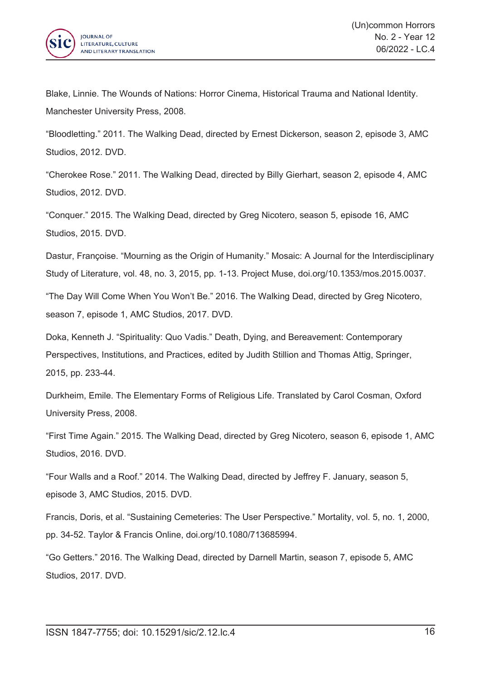

Blake, Linnie. The Wounds of Nations: Horror Cinema, Historical Trauma and National Identity. Manchester University Press, 2008.

"Bloodletting." 2011. The Walking Dead, directed by Ernest Dickerson, season 2, episode 3, AMC Studios, 2012. DVD.

"Cherokee Rose." 2011. The Walking Dead, directed by Billy Gierhart, season 2, episode 4, AMC Studios, 2012. DVD.

"Conquer." 2015. The Walking Dead, directed by Greg Nicotero, season 5, episode 16, AMC Studios, 2015. DVD.

Dastur, Françoise. "Mourning as the Origin of Humanity." Mosaic: A Journal for the Interdisciplinary Study of Literature, vol. 48, no. 3, 2015, pp. 1-13. Project Muse, doi.org/10.1353/mos.2015.0037.

"The Day Will Come When You Won't Be." 2016. The Walking Dead, directed by Greg Nicotero, season 7, episode 1, AMC Studios, 2017. DVD.

Doka, Kenneth J. "Spirituality: Quo Vadis." Death, Dying, and Bereavement: Contemporary Perspectives, Institutions, and Practices, edited by Judith Stillion and Thomas Attig, Springer, 2015, pp. 233-44.

Durkheim, Émile. The Elementary Forms of Religious Life. Translated by Carol Cosman, Oxford University Press, 2008.

"First Time Again." 2015. The Walking Dead, directed by Greg Nicotero, season 6, episode 1, AMC Studios, 2016. DVD.

"Four Walls and <sup>a</sup> Roof." 2014. The Walking Dead, directed by Jeffrey F. January, season 5, episode 3, AMC Studios, 2015. DVD.

Francis, Doris, et al. "Sustaining Cemeteries: The User Perspective." Mortality, vol. 5, no. 1, 2000, pp. 34-52. Taylor & Francis Online, doi.org/10.1080/713685994.

"Go Getters." 2016. The Walking Dead, directed by Darnell Martin, season 7, episode 5, AMC Studios, 2017. DVD.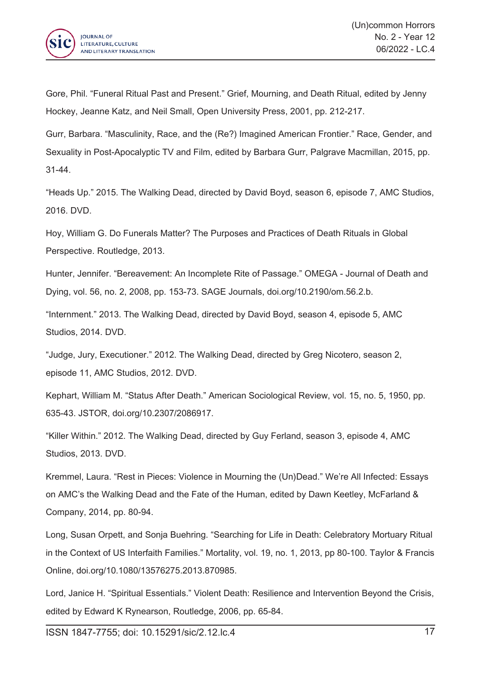

Gore, Phil. "Funeral Ritual Past and Present." Grief, Mourning, and Death Ritual, edited by Jenny Hockey, Jeanne Katz, and Neil Small, Open University Press, 2001, pp. 212-217.

Gurr, Barbara. "Masculinity, Race, and the (Re?) Imagined American Frontier." Race, Gender, and Sexuality in Post-Apocalyptic TV and Film, edited by Barbara Gurr, Palgrave Macmillan, 2015, pp. 31-44.

"Heads Up." 2015. The Walking Dead, directed by David Boyd, season 6, episode 7, AMC Studios, 2016. DVD.

Hoy, William G. Do Funerals Matter? The Purposes and Practices of Death Rituals in Global Perspective. Routledge, 2013.

Hunter, Jennifer. "Bereavement: An Incomplete Rite of Passage." OMEGA - Journal of Death and Dying, vol. 56, no. 2, 2008, pp. 153-73. SAGE Journals, doi.org/10.2190/om.56.2.b.

"Internment." 2013. The Walking Dead, directed by David Boyd, season 4, episode 5, AMC Studios, 2014. DVD.

"Judge, Jury, Executioner." 2012. The Walking Dead, directed by Greg Nicotero, season 2, episode 11, AMC Studios, 2012. DVD.

Kephart, William M. "Status After Death." American Sociological Review, vol. 15, no. 5, 1950, pp. 635-43. JSTOR, doi.org/10.2307/2086917.

"Killer Within." 2012. The Walking Dead, directed by Guy Ferland, season 3, episode 4, AMC Studios, 2013. DVD.

Kremmel, Laura. "Rest in Pieces: Violence in Mourning the (Un)Dead." We're All Infected: Essays on AMC's the Walking Dead and the Fate of the Human, edited by Dawn Keetley, McFarland & Company, 2014, pp. 80-94.

Long, Susan Orpett, and Sonja Buehring. "Searching for Life in Death: Celebratory Mortuary Ritual in the Context of US Interfaith Families." Mortality, vol. 19, no. 1, 2013, pp 80-100. Taylor & Francis Online, doi.org/10.1080/13576275.2013.870985.

Lord, Janice H. "Spiritual Essentials." Violent Death: Resilience and Intervention Beyond the Crisis, edited by Edward K Rynearson, Routledge, 2006, pp. 65-84.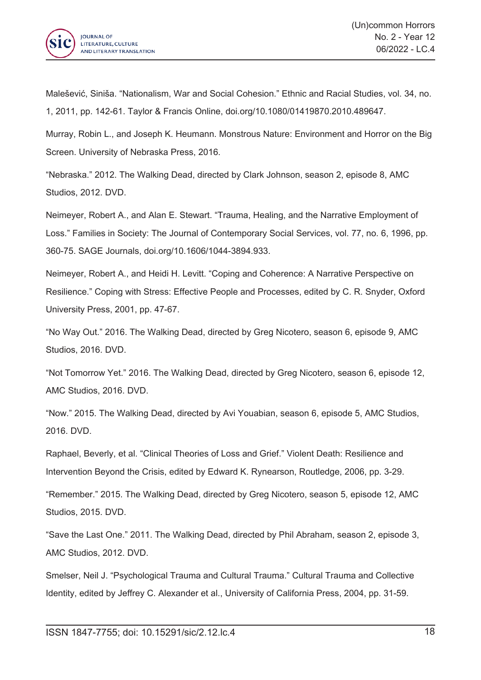

Malešević, Siniša. "Nationalism, War and Social Cohesion." Ethnic and Racial Studies, vol. 34, no. 1, 2011, pp. 142-61. Taylor & Francis Online, doi.org/10.1080/01419870.2010.489647.

Murray, Robin L., and Joseph K. Heumann. Monstrous Nature: Environment and Horror on the Big Screen. University of Nebraska Press, 2016.

"Nebraska." 2012. The Walking Dead, directed by Clark Johnson, season 2, episode 8, AMC Studios, 2012. DVD.

Neimeyer, Robert A., and Alan E. Stewart. "Trauma, Healing, and the Narrative Employment of Loss." Families in Society: The Journal of Contemporary Social Services, vol. 77, no. 6, 1996, pp. 360-75. SAGE Journals, doi.org/10.1606/1044-3894.933.

Neimeyer, Robert A., and Heidi H. Levitt. "Coping and Coherence: A Narrative Perspective on Resilience." Coping with Stress: Effective People and Processes, edited by C. R. Snyder, Oxford University Press, 2001, pp. 47-67.

"No Way Out." 2016. The Walking Dead, directed by Greg Nicotero, season 6, episode 9, AMC Studios, 2016. DVD.

"Not Tomorrow Yet." 2016. The Walking Dead, directed by Greg Nicotero, season 6, episode 12, AMC Studios, 2016. DVD.

"Now." 2015. The Walking Dead, directed by Avi Youabian, season 6, episode 5, AMC Studios, 2016. DVD.

Raphael, Beverly, et al. "Clinical Theories of Loss and Grief." Violent Death: Resilience and Intervention Beyond the Crisis, edited by Edward K. Rynearson, Routledge, 2006, pp. 3-29.

"Remember." 2015. The Walking Dead, directed by Greg Nicotero, season 5, episode 12, AMC Studios, 2015. DVD.

"Save the Last One." 2011. The Walking Dead, directed by Phil Abraham, season 2, episode 3, AMC Studios, 2012. DVD.

Smelser, Neil J. "Psychological Trauma and Cultural Trauma." Cultural Trauma and Collective Identity, edited by Jeffrey C. Alexander et al., University of California Press, 2004, pp. 31-59.